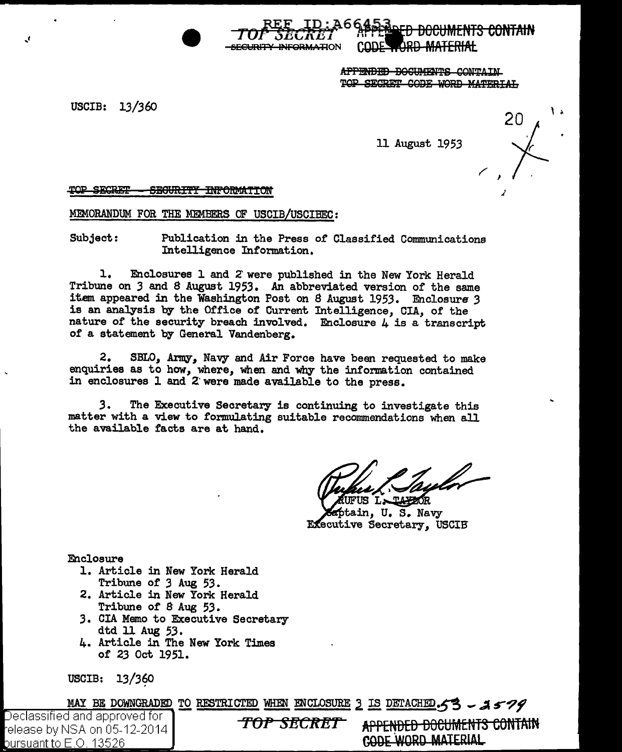SECURITY INFORMATION

APPENDED DOCUMENTS CONTAIN TOP SECRET CODE WORD MATERIAL

USCIB: 13/360

 $\mathbf{r}$ 

11 August 1953

20

TOP SECRET SEGURITY INFORMATION

MEMORANDUM FOR THE MEMBERS OF USCIB/USCIBEC:

Subject: Publication in the Press of Classified Communications Intelligence Information.

 $\mathbf{1}$ . Enclosures 1 and 2 were published in the New York Herald Tribune on 3 and 8 August 1953. An abbreviated version of the same item appeared in the Washington Post on 8 August 1953. Enclosure 3 is an analysis by the Office of Current Intelligence, CIA, of the nature of the security breach involved. Enclosure  $\mu$  is a transcript of a statement by General Vandenberg.

SBLO, Army, Navy and Air Force have been requested to make  $\mathbf{2.}$ enquiries as to how, where, when and why the information contained in enclosures 1 and 2 were made available to the press.

The Executive Secretary is continuing to investigate this 3. matter with a view to formulating suitable recommendations when all the available facts are at hand.

US LAPZOR

ptain, U.S. Navy Executive Secretary, USCIB

Enclosure

- 1. Article in New York Herald Tribune of 3 Aug 53.
- 2. Article in New York Herald Tribune of 8 Aug 53.
- 3. CIA Memo to Executive Secretary dtd 11 Aug 53.
- 4. Article in The New York Times of 23 Oct 1951.

USCIB: 13/360

MAY BE DOWNGRADED TO RESTRICTED WHEN ENCLOSURE 3 IS DETACHED. 53 - 2579

Declassified and approved for l release by NSA on 05-12-2014 bursuant to  $E.O.$  13526

TOP SECRET

APPENDED DOCUMENTS CONTAIN **CODE WORD MATERIAL**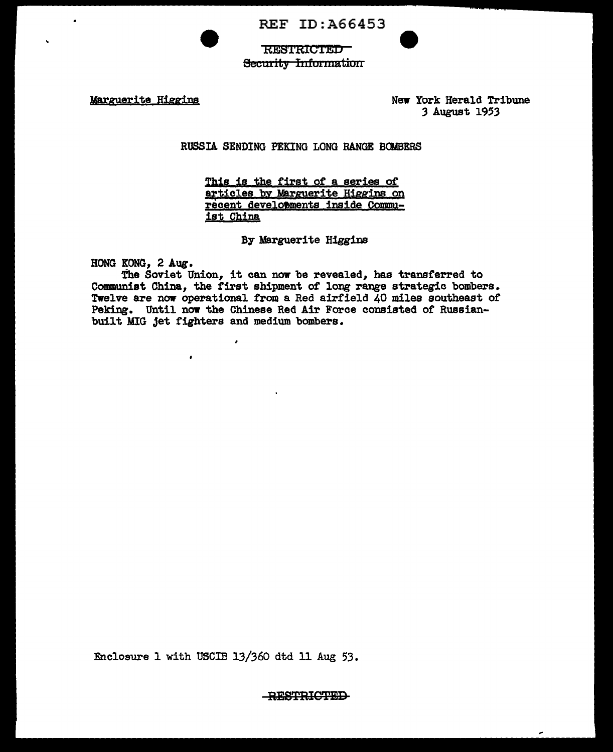REF ID:A66453



**RESTRICTED Security Information** 

Marguerite Higgins New York Herald Tribune *3* August 1953

RUSSIA SENDING PEKING LONG RANGE BOMBERS

This is the first of a series of articles by Marguerite Higgins on recent developments inside Commuist China

By Marguerite Higgins

HONG KONG, 2 Aug.

The Soviet Union, it can now be revealed, has transferred to Communist China, the first shipment of long range strategic bombers. Twelve are now operational from a Red airfield 40 miles southeast of Peking. Until now the Chinese Red Air Force consisted of Russianbuilt MIG Jet fighters and medium bombers.

 $\lambda$ 

 $\pmb{\cdot}$ 

Enclosure 1 with USCIB 13/360 dtd 11 Aug 53.

**RESTRICTED**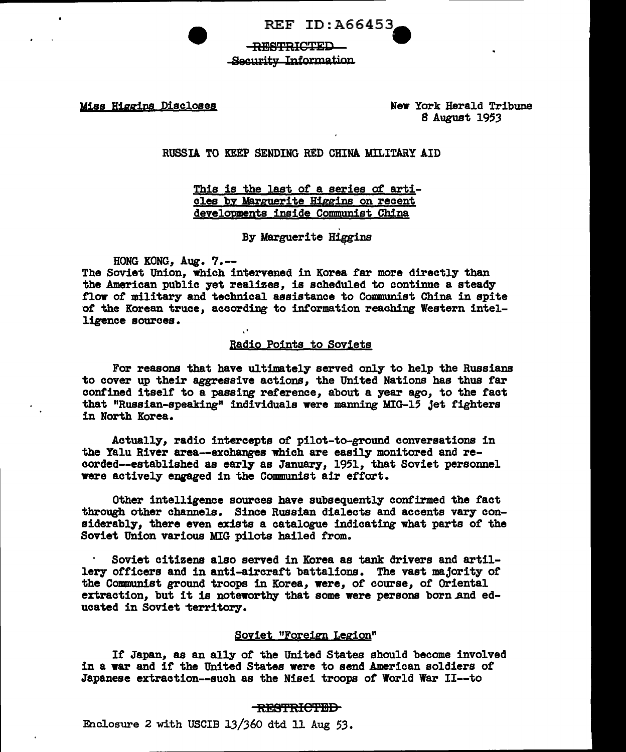REF ID: A66453-

R~B'FRICTEI) Security Information

Miss Higgins Discloses New York Herald Tribune 8 August 1953

RUSSIA TO KEEP SENDING RED CHINA MILITARY AID

This is the last of a series of articles by Marguerite Higgins on recent developments inside Communist China

By Marguerite Higgins

HONG KONG, Aug. 7.--

The Soviet Union, which intervened in Korea far more directly than the American public yet realizes, is scheduled to continue a steady flow of military and technical assistance to Communist China in spite of the Korean truce, according to information reaching Western intelligence sources.

## Badio Points to Soviets

For reasons that have ultimately served only to help the Russians to cover up their aggressive actions, the United Nations has thus far conf'ined itself to a passing reference, about a year ago, to the tact that "Russian-speaking" individuals were manning MIG-15 Jet fighters in North Korea.

Actually, radio intercepts or pilot-to-ground conversations in the Yalu River area--exchanges which are easily monitored and recorded--established as early as January, 1951, that Soviet personnel were actively engaged in the Communist air effort.

Other intelligence sources have subsequently contirmed the tact through other channels. Since Russian dialects and accents vary considerably, there even exists a catalogue indicating what parts or the Soviet Union various MIG pilots hailed from.

Soviet citizens also served in Korea as tank drivers and artillery officers and in anti-aircraft battalions. The vast majority or the Communist ground troops in Korea, were, or course, or Oriental extraction, but it is noteworthy that some were persons born and educated in Soviet territory.

# Soviet "Foreign Legion"

It Japan, as an ally or the United States should become involved in a war and if the United States were to send American soldiers or Japanese extraction--such as the Nisei troops or World War II--to

## RESTRICTED

Enclosure 2 with USCIB 13/360 dtd 11 Aug *53.*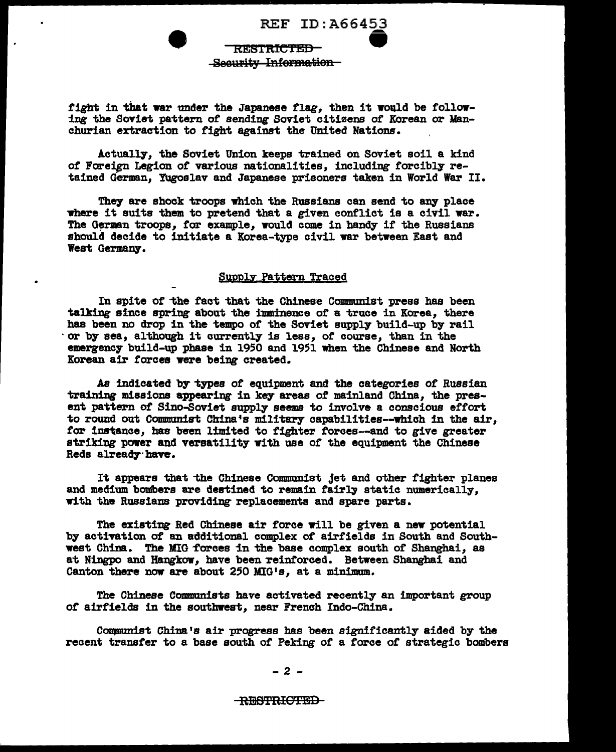REF ID:A66453<br>TRICTED<br>Information Security Information RESTRICTED

fight in that war under the Japanese flag, then it would be following the Soviet pattern of sending Soviet citizens of Korean or Manchurian extraction to fight against the United Nations.

Actually, the Soviet Union keeps trained on Soviet soil a kind of Foreign Legion of various nationalities, including forcibly retained German, Yugoslav and Japanese prisoners taken in World War II.

They are shock troops which the Russians can send to any place where it suits them to pretend that a given conflict is a civil war. The German troops, for example, would come in handy if the Russians should decide to initiate a Korea-type civil war between East and West Germany.

# Supply Pattern Traced

In spite of "the tact that the Chinese Communist press has been talking since spring about the imminence of a truce in Korea, there has been no drop in the tempo of the Soviet supply build-up by rail ·or by sea, although it currently is less, or course, than in the emergency build-up phase in 1950 and 1951 when the Chinese and North Korean air torcea were being created.

•

As indicated by types of equipment and the categories of Russian training missions appearing in key areas of mainland China, the present pattern of Sino-Soviet supply seems to involve a conscious effort to round out Communist China's military capabilities--which in the air, for instance, has been limited to fighter forces--and to give greater striking power and versatility with use of the equipment the Chinese Reds already have.

It appears that the Chinese Communist jet and other fighter planes and medium bombers are destined to remain fairly static numerically, with the Russians providing replacements and spare parts.

The existing Red Chinese air force will be given a new potential by activation of an additional complex *of* airfields in South and Southwest China. The MIG forces in the base complex south of Shanghai, as at Ningpo and Hangkow, have been reinforced. Between Shanghai and Canton there now are about 250 MIG's, at a minimum.

The Chinese Communists have activated recently an important group or airfields in the southwest, near French Indo-China.

Communist China's air progress has been significantly aided by the recent transfer to a base south of Peking of a force of strategic bombers

- 2 -

### RESTRICTED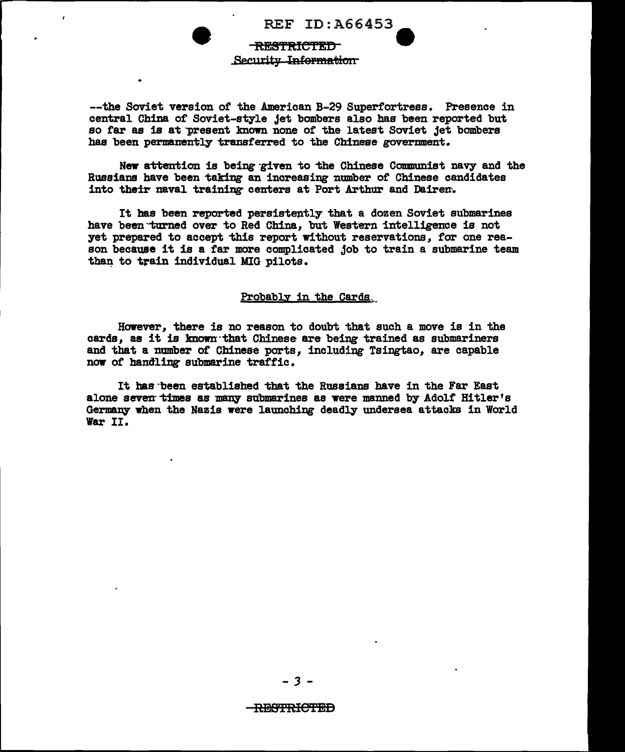REF ID: A66453

# **RESTRICTED** Security Information

--the Soviet version of the American B-29 Superfortress. Presence in central China of Soviet-style jet bombers also has been reported but so far as is at present known none of the latest Soviet jet bombers has been permanently transferred to the Chinese government.

New attention is being given to the Chinese Communist navy and the Russians have been taking an increasing number of Chinese candidates into their naval training centers at Port Arthur and Dairen.

It has been reported persistently that a dozen Soviet submarines have been turned over to Red China. but Western intelligence is not yet prepared to accept this report without reservations, for one reason because it is a far more complicated job to train a submarine team than to train individual MIG pilots.

# Probably in the Cards.

However, there is no reason to doubt that such a move is in the cards, as it is known that Chinese are being trained as submariners and that a number of Chinese ports, including Tsingtao, are capable now of handling submarine traffic.

It has been established that the Russians have in the Far East alone seven times as many submarines as were manned by Adolf Hitler's Germany when the Nazis were launching deadly undersea attacks in World War II.

## <del>RESTRICTED</del>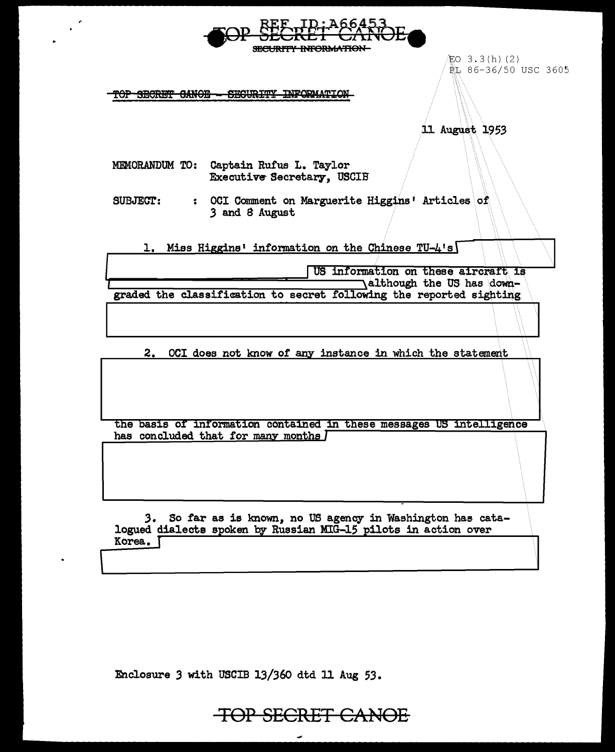| SECURITY INFORMATION                                                                                                                       |
|--------------------------------------------------------------------------------------------------------------------------------------------|
| LO 3.3(h)(2)<br>配 86-36/50 USC 3605<br>SEGURITY INFORMATIO<br>r <del>op Secret Canoe</del>                                                 |
| 11 August 1953                                                                                                                             |
| MEMORANDUM TO: Captain Rufus L. Taylor<br><b>Executive Secretary, USCIB</b>                                                                |
| : OCI Comment on Marguerite Higgins' Articles of<br><b>SUBJECT:</b><br>3 and 8 August                                                      |
| 1. Miss Higgins' information on the Chinese TU-4's                                                                                         |
| US information on these aircraft is                                                                                                        |
| Although the US has down-                                                                                                                  |
| graded the classification to secret following the reported sighting                                                                        |
|                                                                                                                                            |
| OCI does not know of any instance in which the statement<br>2.                                                                             |
|                                                                                                                                            |
| the basis of information contained in these messages US intelligence                                                                       |
| has concluded that for many months I                                                                                                       |
| 3.<br>So far as is known, no US agency in Washington has cata-<br>logued dialects spoken by Russian MIG-15 pilots in action over<br>Korea. |

Enclosure 3 with USCIB 13/360 dtd 11 Aug 53.

 $\frac{1}{2}$ 

 $\bullet$ 

TOP SECRET CANOE